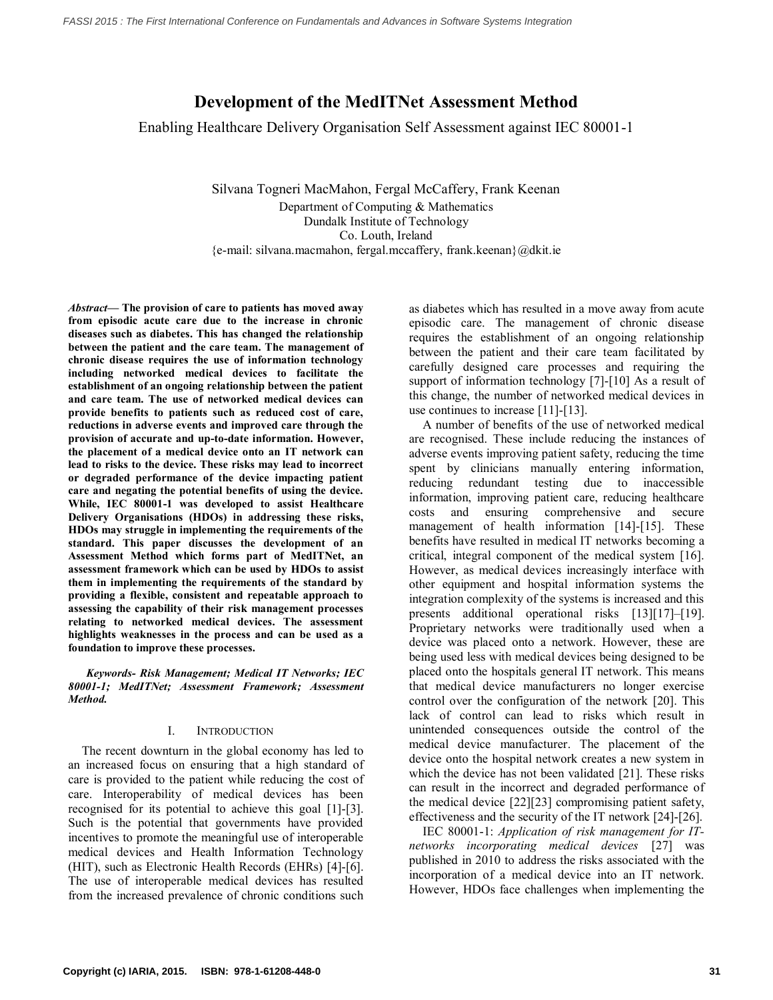# **Development of the MedITNet Assessment Method**

Enabling Healthcare Delivery Organisation Self Assessment against IEC 80001-1

Silvana Togneri MacMahon, Fergal McCaffery, Frank Keenan Department of Computing & Mathematics Dundalk Institute of Technology Co. Louth, Ireland {e-mail: silvana.macmahon, fergal.mccaffery, frank.keenan}@dkit.ie

*Abstract***— The provision of care to patients has moved away from episodic acute care due to the increase in chronic diseases such as diabetes. This has changed the relationship between the patient and the care team. The management of chronic disease requires the use of information technology including networked medical devices to facilitate the establishment of an ongoing relationship between the patient and care team. The use of networked medical devices can provide benefits to patients such as reduced cost of care, reductions in adverse events and improved care through the provision of accurate and up-to-date information. However, the placement of a medical device onto an IT network can lead to risks to the device. These risks may lead to incorrect or degraded performance of the device impacting patient care and negating the potential benefits of using the device. While, IEC 80001-1 was developed to assist Healthcare Delivery Organisations (HDOs) in addressing these risks, HDOs may struggle in implementing the requirements of the standard. This paper discusses the development of an Assessment Method which forms part of MedITNet, an assessment framework which can be used by HDOs to assist them in implementing the requirements of the standard by providing a flexible, consistent and repeatable approach to assessing the capability of their risk management processes relating to networked medical devices. The assessment highlights weaknesses in the process and can be used as a foundation to improve these processes.** 

*Keywords- Risk Management; Medical IT Networks; IEC 80001-1; MedITNet; Assessment Framework; Assessment Method.*

### I. INTRODUCTION

The recent downturn in the global economy has led to an increased focus on ensuring that a high standard of care is provided to the patient while reducing the cost of care. Interoperability of medical devices has been recognised for its potential to achieve this goal [\[1\]-\[3\]](#page-5-0). Such is the potential that governments have provided incentives to promote the meaningful use of interoperable medical devices and Health Information Technology (HIT), such as Electronic Health Records (EHRs) [\[4\]-\[6\]](#page-5-1). The use of interoperable medical devices has resulted from the increased prevalence of chronic conditions such

as diabetes which has resulted in a move away from acute episodic care. The management of chronic disease requires the establishment of an ongoing relationship between the patient and their care team facilitated by carefully designed care processes and requiring the support of information technology [\[7\]-\[10\]](#page-5-2) As a result of this change, the number of networked medical devices in use continues to increase [\[11\]-\[13\]](#page-5-3).

A number of benefits of the use of networked medical are recognised. These include reducing the instances of adverse events improving patient safety, reducing the time spent by clinicians manually entering information, reducing redundant testing due to inaccessible information, improving patient care, reducing healthcare costs and ensuring comprehensive and secure management of health information [\[14\]](#page-5-4)-[\[15\]](#page-5-5). These benefits have resulted in medical IT networks becoming a critical, integral component of the medical system [\[16\]](#page-5-6). However, as medical devices increasingly interface with other equipment and hospital information systems the integration complexity of the systems is increased and this presents additional operational risks [\[13\]](#page-5-7)[\[17\]](#page-5-8)–[19]. Proprietary networks were traditionally used when a device was placed onto a network. However, these are being used less with medical devices being designed to be placed onto the hospitals general IT network. This means that medical device manufacturers no longer exercise control over the configuration of the network [\[20\]](#page-5-9). This lack of control can lead to risks which result in unintended consequences outside the control of the medical device manufacturer. The placement of the device onto the hospital network creates a new system in which the device has not been validated [\[21\]](#page-5-10). These risks can result in the incorrect and degraded performance of the medical device [\[22\]](#page-5-11)[\[23\]](#page-5-12) compromising patient safety, effectiveness and the security of the IT network [\[24\]-\[26\]](#page-5-13).

IEC 80001-1: *Application of risk management for ITnetworks incorporating medical devices* [\[27\]](#page-6-0) was published in 2010 to address the risks associated with the incorporation of a medical device into an IT network. However, HDOs face challenges when implementing the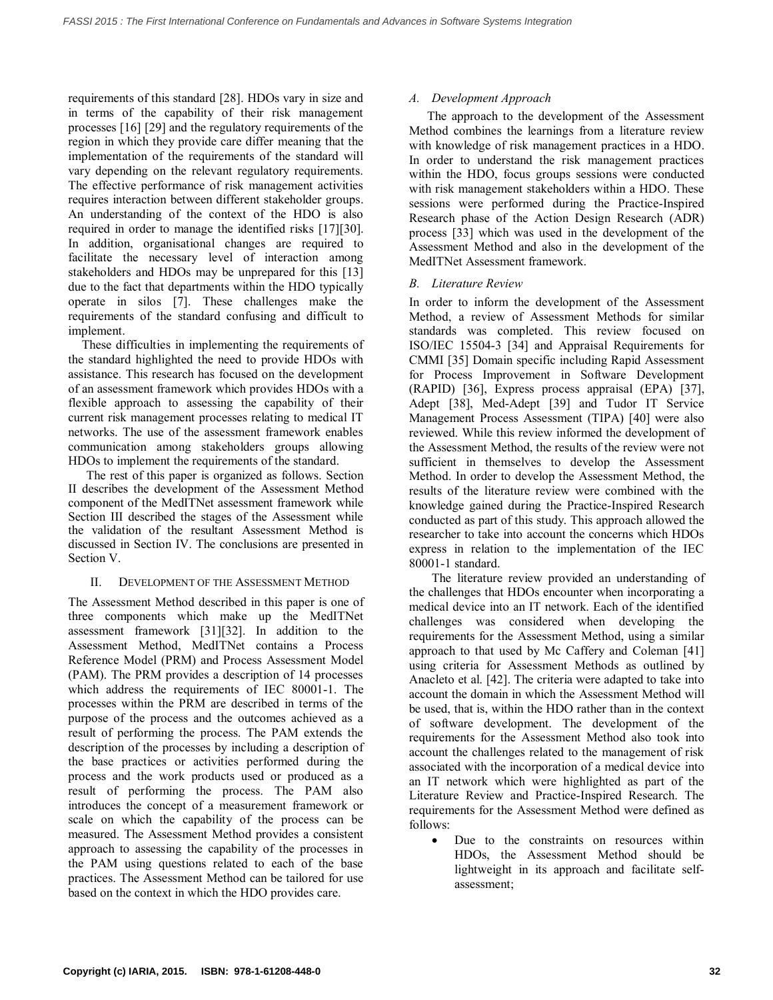requirements of this standard [\[28\]](#page-6-1). HDOs vary in size and in terms of the capability of their risk management processes [\[16\]](#page-5-6) [\[29\]](#page-6-2) and the regulatory requirements of the region in which they provide care differ meaning that the implementation of the requirements of the standard will vary depending on the relevant regulatory requirements. The effective performance of risk management activities requires interaction between different stakeholder groups. An understanding of the context of the HDO is also required in order to manage the identified risks [\[17\]](#page-5-8)[\[30\]](#page-6-3). In addition, organisational changes are required to facilitate the necessary level of interaction among stakeholders and HDOs may be unprepared for this [\[13\]](#page-5-7) due to the fact that departments within the HDO typically operate in silos [\[7\]](#page-5-2). These challenges make the requirements of the standard confusing and difficult to implement.

These difficulties in implementing the requirements of the standard highlighted the need to provide HDOs with assistance. This research has focused on the development of an assessment framework which provides HDOs with a flexible approach to assessing the capability of their current risk management processes relating to medical IT networks. The use of the assessment framework enables communication among stakeholders groups allowing HDOs to implement the requirements of the standard.

The rest of this paper is organized as follows. Section II describes the development of the Assessment Method component of the MedITNet assessment framework while Section III described the stages of the Assessment while the validation of the resultant Assessment Method is discussed in Section IV. The conclusions are presented in Section V.

### II. DEVELOPMENT OF THE ASSESSMENT METHOD

The Assessment Method described in this paper is one of three components which make up the MedITNet assessment framework [\[31\]](#page-6-4)[\[32\]](#page-6-5). In addition to the Assessment Method, MedITNet contains a Process Reference Model (PRM) and Process Assessment Model (PAM). The PRM provides a description of 14 processes which address the requirements of IEC 80001-1. The processes within the PRM are described in terms of the purpose of the process and the outcomes achieved as a result of performing the process. The PAM extends the description of the processes by including a description of the base practices or activities performed during the process and the work products used or produced as a result of performing the process. The PAM also introduces the concept of a measurement framework or scale on which the capability of the process can be measured. The Assessment Method provides a consistent approach to assessing the capability of the processes in the PAM using questions related to each of the base practices. The Assessment Method can be tailored for use based on the context in which the HDO provides care.

### *A. Development Approach*

The approach to the development of the Assessment Method combines the learnings from a literature review with knowledge of risk management practices in a HDO. In order to understand the risk management practices within the HDO, focus groups sessions were conducted with risk management stakeholders within a HDO. These sessions were performed during the Practice-Inspired Research phase of the Action Design Research (ADR) process [\[33\]](#page-6-6) which was used in the development of the Assessment Method and also in the development of the MedITNet Assessment framework.

### *B. Literature Review*

In order to inform the development of the Assessment Method, a review of Assessment Methods for similar standards was completed. This review focused on ISO/IEC 15504-3 [\[34\]](#page-6-7) and Appraisal Requirements for CMMI [\[35\]](#page-6-8) Domain specific including Rapid Assessment for Process Improvement in Software Development (RAPID) [\[36\]](#page-6-9), Express process appraisal (EPA) [\[37\]](#page-6-10), Adept [\[38\]](#page-6-11), Med-Adept [\[39\]](#page-6-12) and Tudor IT Service Management Process Assessment (TIPA) [\[40\]](#page-6-13) were also reviewed. While this review informed the development of the Assessment Method, the results of the review were not sufficient in themselves to develop the Assessment Method. In order to develop the Assessment Method, the results of the literature review were combined with the knowledge gained during the Practice-Inspired Research conducted as part of this study. This approach allowed the researcher to take into account the concerns which HDOs express in relation to the implementation of the IEC 80001-1 standard.

The literature review provided an understanding of the challenges that HDOs encounter when incorporating a medical device into an IT network. Each of the identified challenges was considered when developing the requirements for the Assessment Method, using a similar approach to that used by Mc Caffery and Coleman [\[41\]](#page-6-14) using criteria for Assessment Methods as outlined by Anacleto et al. [\[42\]](#page-6-15). The criteria were adapted to take into account the domain in which the Assessment Method will be used, that is, within the HDO rather than in the context of software development. The development of the requirements for the Assessment Method also took into account the challenges related to the management of risk associated with the incorporation of a medical device into an IT network which were highlighted as part of the Literature Review and Practice-Inspired Research. The requirements for the Assessment Method were defined as follows:

 Due to the constraints on resources within HDOs, the Assessment Method should be lightweight in its approach and facilitate selfassessment;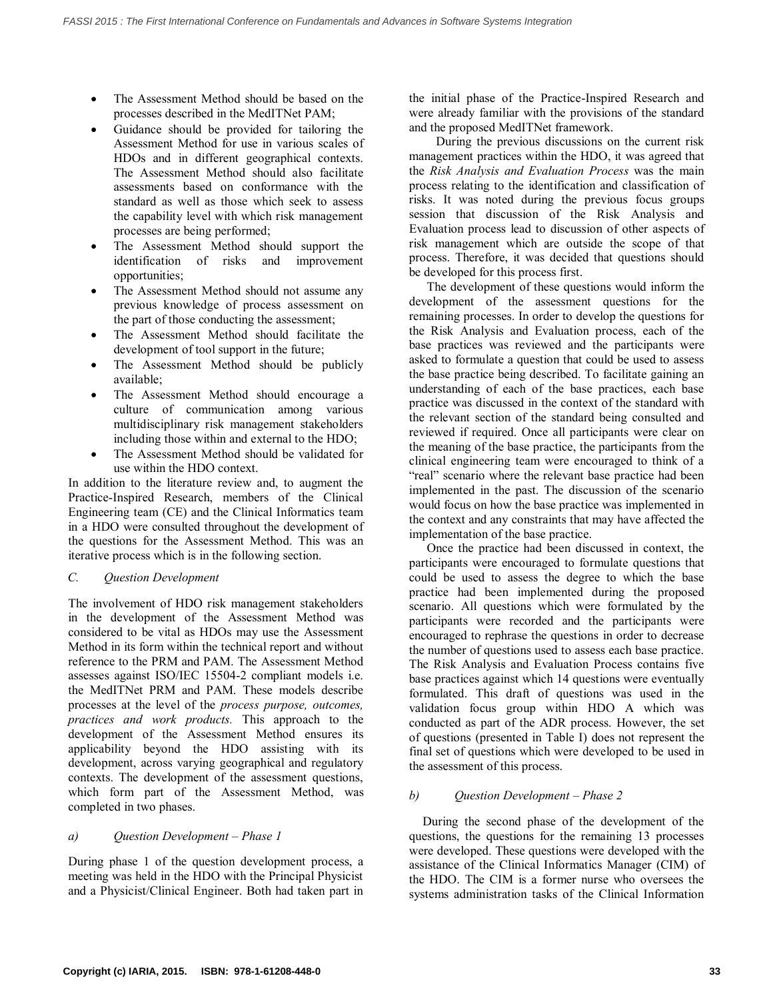- The Assessment Method should be based on the processes described in the MedITNet PAM;
- Guidance should be provided for tailoring the Assessment Method for use in various scales of HDOs and in different geographical contexts. The Assessment Method should also facilitate assessments based on conformance with the standard as well as those which seek to assess the capability level with which risk management processes are being performed;
- The Assessment Method should support the identification of risks and improvement opportunities;
- The Assessment Method should not assume any previous knowledge of process assessment on the part of those conducting the assessment;
- The Assessment Method should facilitate the development of tool support in the future;
- The Assessment Method should be publicly available;
- The Assessment Method should encourage a culture of communication among various multidisciplinary risk management stakeholders including those within and external to the HDO;
- The Assessment Method should be validated for use within the HDO context.

In addition to the literature review and, to augment the Practice-Inspired Research, members of the Clinical Engineering team (CE) and the Clinical Informatics team in a HDO were consulted throughout the development of the questions for the Assessment Method. This was an iterative process which is in the following section.

## *C. Question Development*

The involvement of HDO risk management stakeholders in the development of the Assessment Method was considered to be vital as HDOs may use the Assessment Method in its form within the technical report and without reference to the PRM and PAM. The Assessment Method assesses against ISO/IEC 15504-2 compliant models i.e. the MedITNet PRM and PAM. These models describe processes at the level of the *process purpose, outcomes, practices and work products.* This approach to the development of the Assessment Method ensures its applicability beyond the HDO assisting with its development, across varying geographical and regulatory contexts. The development of the assessment questions, which form part of the Assessment Method, was completed in two phases.

## *a) Question Development – Phase 1*

During phase 1 of the question development process, a meeting was held in the HDO with the Principal Physicist and a Physicist/Clinical Engineer. Both had taken part in the initial phase of the Practice-Inspired Research and were already familiar with the provisions of the standard and the proposed MedITNet framework.

During the previous discussions on the current risk management practices within the HDO, it was agreed that the *Risk Analysis and Evaluation Process* was the main process relating to the identification and classification of risks. It was noted during the previous focus groups session that discussion of the Risk Analysis and Evaluation process lead to discussion of other aspects of risk management which are outside the scope of that process. Therefore, it was decided that questions should be developed for this process first.

The development of these questions would inform the development of the assessment questions for the remaining processes. In order to develop the questions for the Risk Analysis and Evaluation process, each of the base practices was reviewed and the participants were asked to formulate a question that could be used to assess the base practice being described. To facilitate gaining an understanding of each of the base practices, each base practice was discussed in the context of the standard with the relevant section of the standard being consulted and reviewed if required. Once all participants were clear on the meaning of the base practice, the participants from the clinical engineering team were encouraged to think of a "real" scenario where the relevant base practice had been implemented in the past. The discussion of the scenario would focus on how the base practice was implemented in the context and any constraints that may have affected the implementation of the base practice.

Once the practice had been discussed in context, the participants were encouraged to formulate questions that could be used to assess the degree to which the base practice had been implemented during the proposed scenario. All questions which were formulated by the participants were recorded and the participants were encouraged to rephrase the questions in order to decrease the number of questions used to assess each base practice. The Risk Analysis and Evaluation Process contains five base practices against which 14 questions were eventually formulated. This draft of questions was used in the validation focus group within HDO A which was conducted as part of the ADR process. However, the set of questions (presented in Table I) does not represent the final set of questions which were developed to be used in the assessment of this process.

## *b) Question Development – Phase 2*

During the second phase of the development of the questions, the questions for the remaining 13 processes were developed. These questions were developed with the assistance of the Clinical Informatics Manager (CIM) of the HDO. The CIM is a former nurse who oversees the systems administration tasks of the Clinical Information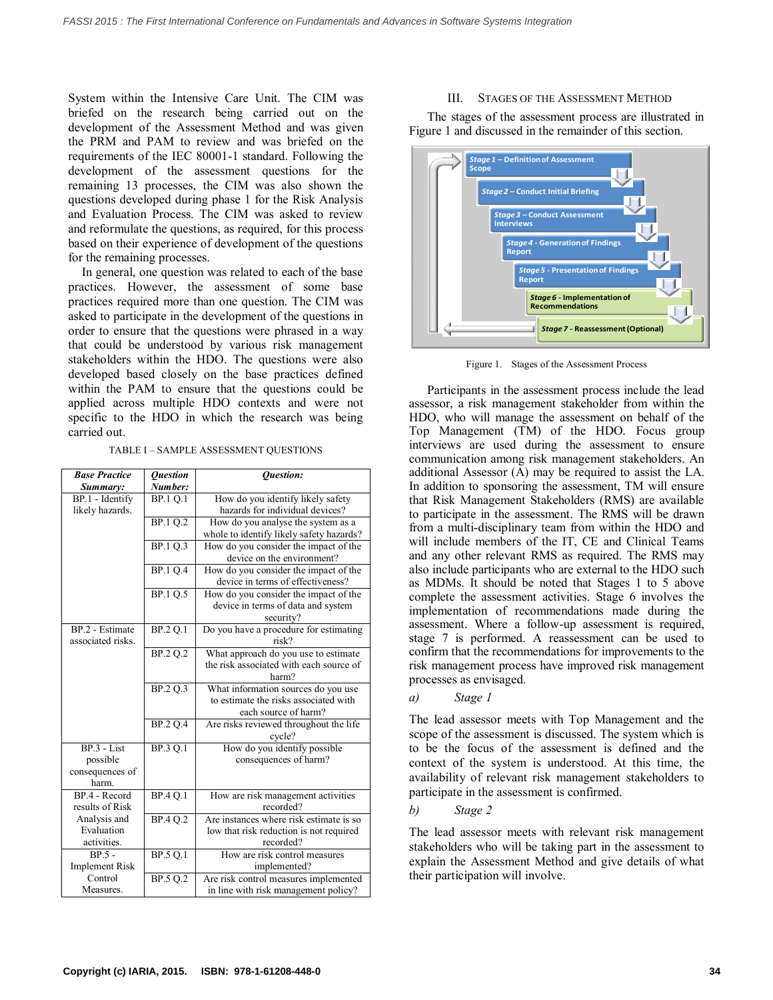System within the Intensive Care Unit. The CIM was briefed on the research being carried out on the development of the Assessment Method and was given the PRM and PAM to review and was briefed on the requirements of the IEC 80001-1 standard. Following the development of the assessment questions for the remaining 13 processes, the CIM was also shown the questions developed during phase 1 for the Risk Analysis and Evaluation Process. The CIM was asked to review and reformulate the questions, as required, for this process based on their experience of development of the questions for the remaining processes.

In general, one question was related to each of the base practices. However, the assessment of some base practices required more than one question. The CIM was asked to participate in the development of the questions in order to ensure that the questions were phrased in a way that could be understood by various risk management stakeholders within the HDO. The questions were also developed based closely on the base practices defined within the PAM to ensure that the questions could be applied across multiple HDO contexts and were not specific to the HDO in which the research was being carried out.

TABLE I – SAMPLE ASSESSMENT QUESTIONS

| <b>Base Practice</b>             | <b>Ouestion</b>        | <b>Ouestion:</b>                         |
|----------------------------------|------------------------|------------------------------------------|
| Summary:                         | Number:                |                                          |
| BP.1 - Identify                  | <b>BP.1 O.1</b>        | How do you identify likely safety        |
| likely hazards.                  |                        | hazards for individual devices?          |
|                                  | BP.1 O.2               | How do you analyse the system as a       |
|                                  |                        | whole to identify likely safety hazards? |
|                                  | <b>BP.1 Q.3</b>        | How do you consider the impact of the    |
|                                  |                        | device on the environment?               |
|                                  | <b>BP.1 Q.4</b>        | How do you consider the impact of the    |
|                                  |                        | device in terms of effectiveness?        |
|                                  | BP.1 Q.5               | How do you consider the impact of the    |
|                                  |                        | device in terms of data and system       |
|                                  |                        | security?                                |
| BP.2 - Estimate                  | BP.2 Q.1               | Do you have a procedure for estimating   |
| associated risks.                |                        | risk?                                    |
|                                  | $\overline{BP}$ .2 Q.2 | What approach do you use to estimate     |
|                                  |                        | the risk associated with each source of  |
|                                  |                        | harm?                                    |
|                                  | BP.2 O.3               | What information sources do you use      |
|                                  |                        | to estimate the risks associated with    |
|                                  |                        | each source of harm?                     |
|                                  | BP.2 O.4               | Are risks reviewed throughout the life   |
|                                  |                        | cycle?                                   |
| $BP.3 - List$                    | BP.3 O.1               | How do you identify possible             |
| possible                         |                        | consequences of harm?                    |
| consequences of                  |                        |                                          |
| harm.<br>$BP$ 4 - Record         |                        |                                          |
|                                  | <b>BP.4 Q.1</b>        | How are risk management activities       |
| results of Risk                  |                        | recorded?                                |
| Analysis and<br>Evaluation       | BP.4 O.2               | Are instances where risk estimate is so  |
|                                  |                        | low that risk reduction is not required  |
| activities.                      |                        | recorded?                                |
| $BP.5 -$                         | <b>BP.5 O.1</b>        | How are risk control measures            |
| <b>Implement Risk</b><br>Control |                        | implemented?                             |
| Measures.                        | BP.5 Q.2               | Are risk control measures implemented    |
|                                  |                        | in line with risk management policy?     |

#### III. STAGES OF THE ASSESSMENT METHOD

The stages of the assessment process are illustrated in Figure 1 and discussed in the remainder of this section.



Figure 1. Stages of the Assessment Process

Participants in the assessment process include the lead assessor, a risk management stakeholder from within the HDO, who will manage the assessment on behalf of the Top Management (TM) of the HDO. Focus group interviews are used during the assessment to ensure communication among risk management stakeholders. An additional Assessor (A) may be required to assist the LA. In addition to sponsoring the assessment, TM will ensure that Risk Management Stakeholders (RMS) are available to participate in the assessment. The RMS will be drawn from a multi-disciplinary team from within the HDO and will include members of the IT, CE and Clinical Teams and any other relevant RMS as required. The RMS may also include participants who are external to the HDO such as MDMs. It should be noted that Stages 1 to 5 above complete the assessment activities. Stage 6 involves the implementation of recommendations made during the assessment. Where a follow-up assessment is required, stage 7 is performed. A reassessment can be used to confirm that the recommendations for improvements to the risk management process have improved risk management processes as envisaged.

*a) Stage 1*

The lead assessor meets with Top Management and the scope of the assessment is discussed. The system which is to be the focus of the assessment is defined and the context of the system is understood. At this time, the availability of relevant risk management stakeholders to participate in the assessment is confirmed.

*b) Stage 2*

The lead assessor meets with relevant risk management stakeholders who will be taking part in the assessment to explain the Assessment Method and give details of what their participation will involve.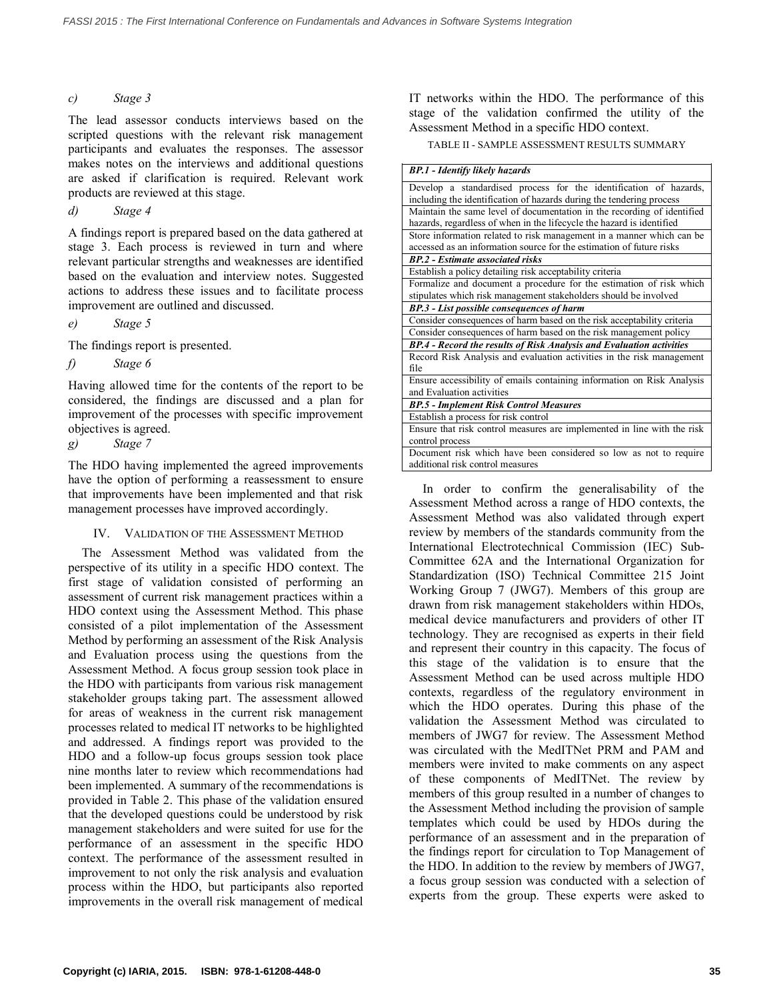### *c) Stage 3*

The lead assessor conducts interviews based on the scripted questions with the relevant risk management participants and evaluates the responses. The assessor makes notes on the interviews and additional questions are asked if clarification is required. Relevant work products are reviewed at this stage.

*d) Stage 4*

A findings report is prepared based on the data gathered at stage 3. Each process is reviewed in turn and where relevant particular strengths and weaknesses are identified based on the evaluation and interview notes. Suggested actions to address these issues and to facilitate process improvement are outlined and discussed.

*e) Stage 5*

The findings report is presented.

*f) Stage 6*

Having allowed time for the contents of the report to be considered, the findings are discussed and a plan for improvement of the processes with specific improvement objectives is agreed.

*g) Stage 7*

The HDO having implemented the agreed improvements have the option of performing a reassessment to ensure that improvements have been implemented and that risk management processes have improved accordingly.

### IV. VALIDATION OF THE ASSESSMENT METHOD

The Assessment Method was validated from the perspective of its utility in a specific HDO context. The first stage of validation consisted of performing an assessment of current risk management practices within a HDO context using the Assessment Method. This phase consisted of a pilot implementation of the Assessment Method by performing an assessment of the Risk Analysis and Evaluation process using the questions from the Assessment Method. A focus group session took place in the HDO with participants from various risk management stakeholder groups taking part. The assessment allowed for areas of weakness in the current risk management processes related to medical IT networks to be highlighted and addressed. A findings report was provided to the HDO and a follow-up focus groups session took place nine months later to review which recommendations had been implemented. A summary of the recommendations is provided in Table 2. This phase of the validation ensured that the developed questions could be understood by risk management stakeholders and were suited for use for the performance of an assessment in the specific HDO context. The performance of the assessment resulted in improvement to not only the risk analysis and evaluation process within the HDO, but participants also reported improvements in the overall risk management of medical IT networks within the HDO. The performance of this stage of the validation confirmed the utility of the Assessment Method in a specific HDO context.

TABLE II - SAMPLE ASSESSMENT RESULTS SUMMARY

| <b>BP.1 - Identify likely hazards</b>                                   |  |  |
|-------------------------------------------------------------------------|--|--|
| Develop a standardised process for the identification of hazards,       |  |  |
| including the identification of hazards during the tendering process    |  |  |
| Maintain the same level of documentation in the recording of identified |  |  |
| hazards, regardless of when in the lifecycle the hazard is identified   |  |  |
| Store information related to risk management in a manner which can be   |  |  |
| accessed as an information source for the estimation of future risks    |  |  |
| <b>BP.2</b> - Estimate associated risks                                 |  |  |
| Establish a policy detailing risk acceptability criteria                |  |  |
| Formalize and document a procedure for the estimation of risk which     |  |  |
| stipulates which risk management stakeholders should be involved        |  |  |
| BP.3 - List possible consequences of harm                               |  |  |
| Consider consequences of harm based on the risk acceptability criteria  |  |  |
| Consider consequences of harm based on the risk management policy       |  |  |
| BP.4 - Record the results of Risk Analysis and Evaluation activities    |  |  |
| Record Risk Analysis and evaluation activities in the risk management   |  |  |
| file                                                                    |  |  |
| Ensure accessibility of emails containing information on Risk Analysis  |  |  |
| and Evaluation activities                                               |  |  |
| <b>BP.5 - Implement Risk Control Measures</b>                           |  |  |
| Establish a process for risk control                                    |  |  |
| Ensure that risk control measures are implemented in line with the risk |  |  |
| control process                                                         |  |  |
| Document risk which have been considered so low as not to require       |  |  |
| additional risk control measures                                        |  |  |

In order to confirm the generalisability of the Assessment Method across a range of HDO contexts, the Assessment Method was also validated through expert review by members of the standards community from the International Electrotechnical Commission (IEC) Sub-Committee 62A and the International Organization for Standardization (ISO) Technical Committee 215 Joint Working Group 7 (JWG7). Members of this group are drawn from risk management stakeholders within HDOs, medical device manufacturers and providers of other IT technology. They are recognised as experts in their field and represent their country in this capacity. The focus of this stage of the validation is to ensure that the Assessment Method can be used across multiple HDO contexts, regardless of the regulatory environment in which the HDO operates. During this phase of the validation the Assessment Method was circulated to members of JWG7 for review. The Assessment Method was circulated with the MedITNet PRM and PAM and members were invited to make comments on any aspect of these components of MedITNet. The review by members of this group resulted in a number of changes to the Assessment Method including the provision of sample templates which could be used by HDOs during the performance of an assessment and in the preparation of the findings report for circulation to Top Management of the HDO. In addition to the review by members of JWG7, a focus group session was conducted with a selection of experts from the group. These experts were asked to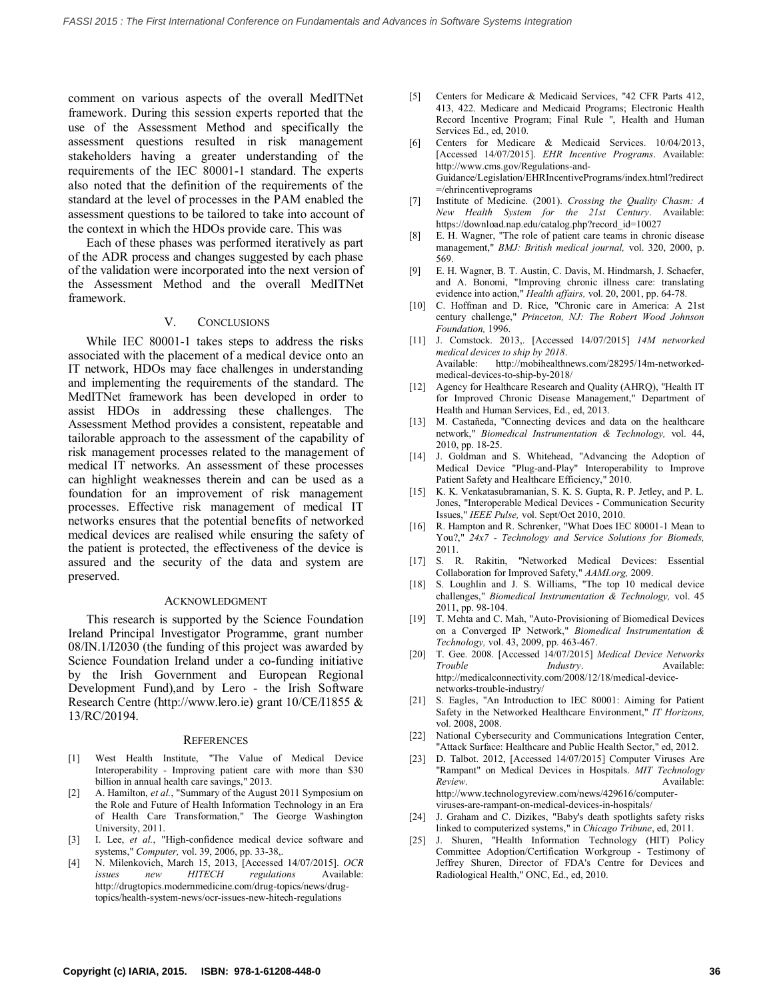comment on various aspects of the overall MedITNet framework. During this session experts reported that the use of the Assessment Method and specifically the assessment questions resulted in risk management stakeholders having a greater understanding of the requirements of the IEC 80001-1 standard. The experts also noted that the definition of the requirements of the standard at the level of processes in the PAM enabled the assessment questions to be tailored to take into account of the context in which the HDOs provide care. This was

Each of these phases was performed iteratively as part of the ADR process and changes suggested by each phase of the validation were incorporated into the next version of the Assessment Method and the overall MedITNet framework.

#### V. CONCLUSIONS

While IEC 80001-1 takes steps to address the risks associated with the placement of a medical device onto an IT network, HDOs may face challenges in understanding and implementing the requirements of the standard. The MedITNet framework has been developed in order to assist HDOs in addressing these challenges. The Assessment Method provides a consistent, repeatable and tailorable approach to the assessment of the capability of risk management processes related to the management of medical IT networks. An assessment of these processes can highlight weaknesses therein and can be used as a foundation for an improvement of risk management processes. Effective risk management of medical IT networks ensures that the potential benefits of networked medical devices are realised while ensuring the safety of the patient is protected, the effectiveness of the device is assured and the security of the data and system are preserved.

#### ACKNOWLEDGMENT

This research is supported by the Science Foundation Ireland Principal Investigator Programme, grant number 08/IN.1/I2030 (the funding of this project was awarded by Science Foundation Ireland under a co-funding initiative by the Irish Government and European Regional Development Fund),and by Lero - the Irish Software Research Centre (http://www.lero.ie) grant 10/CE/I1855 & 13/RC/20194.

#### **REFERENCES**

- <span id="page-5-0"></span>[1] West Health Institute, "The Value of Medical Device Interoperability - Improving patient care with more than \$30 billion in annual health care savings," 2013.
- [2] A. Hamilton, *et al.*, "Summary of the August 2011 Symposium on the Role and Future of Health Information Technology in an Era of Health Care Transformation," The George Washington University, 2011.
- [3] I. Lee, *et al.*, "High-confidence medical device software and systems," *Computer,* vol. 39, 2006, pp. 33-38,.
- <span id="page-5-1"></span>[4] N. Milenkovich, March 15, 2013, [Accessed 14/07/2015]. *OCR issues new HITECH regulations* Available: http://drugtopics.modernmedicine.com/drug-topics/news/drugtopics/health-system-news/ocr-issues-new-hitech-regulations
- [5] Centers for Medicare & Medicaid Services, "42 CFR Parts 412, 413, 422. Medicare and Medicaid Programs; Electronic Health Record Incentive Program; Final Rule ", Health and Human Services Ed., ed, 2010.
- [6] Centers for Medicare & Medicaid Services. 10/04/2013, [Accessed 14/07/2015]. *EHR Incentive Programs*. Available: http://www.cms.gov/Regulations-and-Guidance/Legislation/EHRIncentivePrograms/index.html?redirect =/ehrincentiveprograms
- <span id="page-5-2"></span>[7] Institute of Medicine. (2001). *Crossing the Quality Chasm: A New Health System for the 21st Century*. Available: https://download.nap.edu/catalog.php?record\_id=10027
- [8] E. H. Wagner, "The role of patient care teams in chronic disease management," *BMJ: British medical journal,* vol. 320, 2000, p. 569.
- [9] E. H. Wagner, B. T. Austin, C. Davis, M. Hindmarsh, J. Schaefer, and A. Bonomi, "Improving chronic illness care: translating evidence into action," *Health affairs,* vol. 20, 2001, pp. 64-78.
- [10] C. Hoffman and D. Rice, "Chronic care in America: A 21st century challenge," *Princeton, NJ: The Robert Wood Johnson Foundation,* 1996.
- <span id="page-5-3"></span>[11] J. Comstock. 2013,. [Accessed 14/07/2015] *14M networked medical devices to ship by 2018*. Available: http://mobihealthnews.com/28295/14m-networkedmedical-devices-to-ship-by-2018/
- [12] Agency for Healthcare Research and Quality (AHRQ), "Health IT for Improved Chronic Disease Management," Department of Health and Human Services, Ed., ed, 2013.
- <span id="page-5-7"></span>[13] M. Castañeda, "Connecting devices and data on the healthcare network," *Biomedical Instrumentation & Technology,* vol. 44, 2010, pp. 18-25.
- <span id="page-5-4"></span>[14] J. Goldman and S. Whitehead, "Advancing the Adoption of Medical Device "Plug-and-Play" Interoperability to Improve Patient Safety and Healthcare Efficiency," 2010.
- <span id="page-5-5"></span>[15] K. K. Venkatasubramanian, S. K. S. Gupta, R. P. Jetley, and P. L. Jones, "Interoperable Medical Devices - Communication Security Issues," *IEEE Pulse,* vol. Sept/Oct 2010, 2010.
- <span id="page-5-6"></span>[16] R. Hampton and R. Schrenker, "What Does IEC 80001-1 Mean to You?," *24x7 - Technology and Service Solutions for Biomeds,*  2011.
- <span id="page-5-8"></span>[17] S. R. Rakitin, "Networked Medical Devices: Essential Collaboration for Improved Safety," *AAMI.org,* 2009.
- [18] S. Loughlin and J. S. Williams, "The top 10 medical device challenges," *Biomedical Instrumentation & Technology,* vol. 45 2011, pp. 98-104.
- [19] T. Mehta and C. Mah, "Auto-Provisioning of Biomedical Devices on a Converged IP Network," *Biomedical Instrumentation & Technology,* vol. 43, 2009, pp. 463-467.
- <span id="page-5-9"></span>[20] T. Gee. 2008. [Accessed 14/07/2015] *Medical Device Networks Trouble Industry*. Available: http://medicalconnectivity.com/2008/12/18/medical-devicenetworks-trouble-industry/
- <span id="page-5-10"></span>[21] S. Eagles, "An Introduction to IEC 80001: Aiming for Patient Safety in the Networked Healthcare Environment," *IT Horizons,*  vol. 2008, 2008.
- <span id="page-5-11"></span>[22] National Cybersecurity and Communications Integration Center, "Attack Surface: Healthcare and Public Health Sector," ed, 2012.
- <span id="page-5-12"></span>[23] D. Talbot. 2012, [Accessed 14/07/2015] Computer Viruses Are "Rampant" on Medical Devices in Hospitals. *MIT Technology Review*. Available: http://www.technologyreview.com/news/429616/computerviruses-are-rampant-on-medical-devices-in-hospitals/
- <span id="page-5-13"></span>[24] J. Graham and C. Dizikes, "Baby's death spotlights safety risks linked to computerized systems," in *Chicago Tribune*, ed, 2011.
- [25] J. Shuren, "Health Information Technology (HIT) Policy Committee Adoption/Certification Workgroup - Testimony of Jeffrey Shuren, Director of FDA's Centre for Devices and Radiological Health," ONC, Ed., ed, 2010.